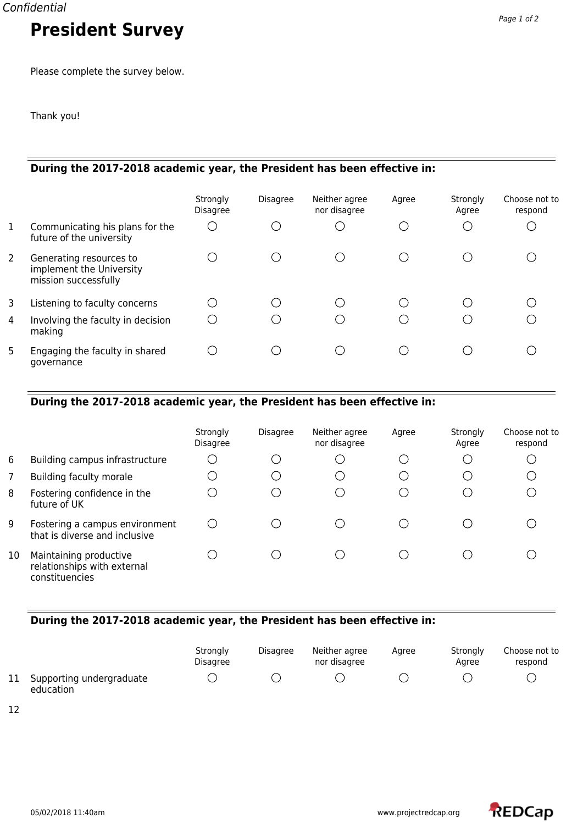Confidential

# **President Survey**

Please complete the survey below.

Thank you!

## **During the 2017-2018 academic year, the President has been effective in:**

|                |                                                                             | Strongly<br><b>Disagree</b> | <b>Disagree</b> | Neither agree<br>nor disagree | Agree | Strongly<br>Agree | Choose not to<br>respond |
|----------------|-----------------------------------------------------------------------------|-----------------------------|-----------------|-------------------------------|-------|-------------------|--------------------------|
| $\mathbf{1}$   | Communicating his plans for the<br>future of the university                 |                             |                 |                               |       |                   |                          |
| $\overline{2}$ | Generating resources to<br>implement the University<br>mission successfully |                             |                 |                               |       |                   |                          |
| 3              | Listening to faculty concerns                                               |                             |                 |                               |       |                   |                          |
| 4              | Involving the faculty in decision<br>making                                 |                             |                 |                               |       |                   |                          |
| 5              | Engaging the faculty in shared<br>governance                                |                             |                 |                               |       |                   |                          |

## **During the 2017-2018 academic year, the President has been effective in:**

|    |                                                                         | Strongly<br>Disagree | <b>Disagree</b> | Neither agree<br>nor disagree | Agree | Strongly<br>Agree | Choose not to<br>respond |
|----|-------------------------------------------------------------------------|----------------------|-----------------|-------------------------------|-------|-------------------|--------------------------|
| 6  | Building campus infrastructure                                          |                      | $\cdot$ .       |                               |       | $\cup$            |                          |
| 7  | Building faculty morale                                                 |                      | ()              |                               |       | $\mathbf{r}$      |                          |
| 8  | Fostering confidence in the<br>future of UK                             |                      | $\ddots$        |                               |       | - 1               |                          |
| 9  | Fostering a campus environment<br>that is diverse and inclusive         |                      |                 |                               |       |                   |                          |
| 10 | Maintaining productive<br>relationships with external<br>constituencies |                      |                 |                               |       |                   |                          |

# **During the 2017-2018 academic year, the President has been effective in:**

|                                          | Strongly<br>Disagree | <b>Disagree</b> | Neither agree<br>nor disagree | Aaree | Stronaly<br>Aaree | Choose not to<br>respond |
|------------------------------------------|----------------------|-----------------|-------------------------------|-------|-------------------|--------------------------|
| 11 Supporting undergraduate<br>education |                      |                 |                               |       |                   |                          |

12